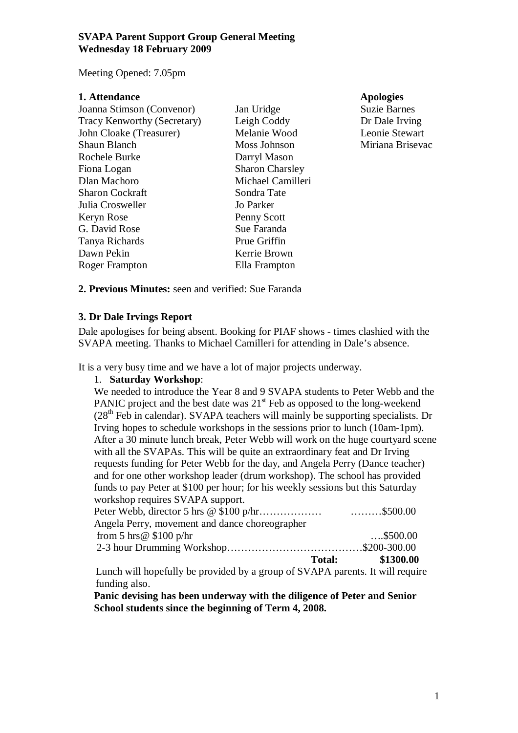Meeting Opened: 7.05pm

| 1. Attendance               |                        |
|-----------------------------|------------------------|
| Joanna Stimson (Convenor)   | Jan Uridge             |
| Tracy Kenworthy (Secretary) | Leigh Coddy            |
| John Cloake (Treasurer)     | Melanie Wood           |
| <b>Shaun Blanch</b>         | Moss Johnson           |
| Rochele Burke               | Darryl Mason           |
| Fiona Logan                 | <b>Sharon Charsley</b> |
| Dlan Machoro                | Michael Camilleri      |
| <b>Sharon Cockraft</b>      | Sondra Tate            |
| Julia Crosweller            | Jo Parker              |
| Keryn Rose                  | Penny Scott            |
| G. David Rose               | Sue Faranda            |
| Tanya Richards              | Prue Griffin           |
| Dawn Pekin                  | Kerrie Brown           |
| Roger Frampton              | Ella Frampton          |

Apologies Suzie Barnes Dr Dale Irving Leonie Stewart Miriana Brisevac

**2. Previous Minutes:** seen and verified: Sue Faranda

#### **3. Dr Dale Irvings Report**

Dale apologises for being absent. Booking for PIAF shows - times clashied with the SVAPA meeting. Thanks to Michael Camilleri for attending in Dale's absence.

It is a very busy time and we have a lot of major projects underway.

#### 1. **Saturday Workshop**:

We needed to introduce the Year 8 and 9 SVAPA students to Peter Webb and the PANIC project and the best date was  $21<sup>st</sup>$  Feb as opposed to the long-weekend  $(28<sup>th</sup>$  Feb in calendar). SVAPA teachers will mainly be supporting specialists. Dr Irving hopes to schedule workshops in the sessions prior to lunch (10am-1pm). After a 30 minute lunch break, Peter Webb will work on the huge courtyard scene with all the SVAPAs. This will be quite an extraordinary feat and Dr Irving requests funding for Peter Webb for the day, and Angela Perry (Dance teacher) and for one other workshop leader (drum workshop). The school has provided funds to pay Peter at \$100 per hour; for his weekly sessions but this Saturday workshop requires SVAPA support. Peter Webb, director 5 hrs @ \$100 p/hr……………… ………\$500.00 Angela Perry, movement and dance choreographer from 5 hrs @ \$100 p/hr ....\$500.00 2-3 hour Drumming Workshop…………………………………\$200-300.00 **Total: \$1300.00** 

Lunch will hopefully be provided by a group of SVAPA parents. It will require funding also.

**Panic devising has been underway with the diligence of Peter and Senior School students since the beginning of Term 4, 2008.**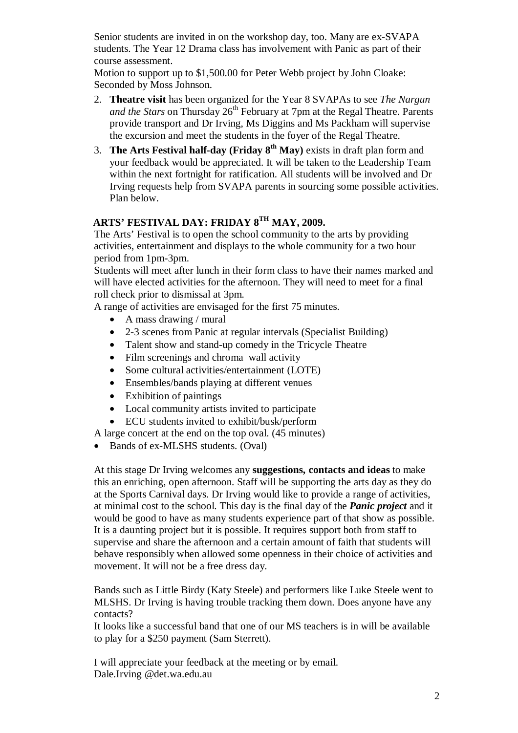Senior students are invited in on the workshop day, too. Many are ex-SVAPA students. The Year 12 Drama class has involvement with Panic as part of their course assessment.

Motion to support up to \$1,500.00 for Peter Webb project by John Cloake: Seconded by Moss Johnson.

- 2. **Theatre visit** has been organized for the Year 8 SVAPAs to see *The Nargun and the Stars* on Thursday 26<sup>th</sup> February at 7pm at the Regal Theatre. Parents provide transport and Dr Irving, Ms Diggins and Ms Packham will supervise the excursion and meet the students in the foyer of the Regal Theatre.
- 3. **The Arts Festival half-day (Friday 8th May)** exists in draft plan form and your feedback would be appreciated. It will be taken to the Leadership Team within the next fortnight for ratification. All students will be involved and Dr Irving requests help from SVAPA parents in sourcing some possible activities. Plan below.

# **ARTS' FESTIVAL DAY: FRIDAY 8TH MAY, 2009.**

The Arts' Festival is to open the school community to the arts by providing activities, entertainment and displays to the whole community for a two hour period from 1pm-3pm.

Students will meet after lunch in their form class to have their names marked and will have elected activities for the afternoon. They will need to meet for a final roll check prior to dismissal at 3pm.

A range of activities are envisaged for the first 75 minutes.

- A mass drawing / mural
- 2-3 scenes from Panic at regular intervals (Specialist Building)
- Talent show and stand-up comedy in the Tricycle Theatre
- Film screenings and chroma wall activity
- Some cultural activities/entertainment (LOTE)
- Ensembles/bands playing at different venues
- Exhibition of paintings
- Local community artists invited to participate
- ECU students invited to exhibit/busk/perform

A large concert at the end on the top oval. (45 minutes)

• Bands of ex-MLSHS students. (Oval)

At this stage Dr Irving welcomes any **suggestions, contacts and ideas** to make this an enriching, open afternoon. Staff will be supporting the arts day as they do at the Sports Carnival days. Dr Irving would like to provide a range of activities, at minimal cost to the school. This day is the final day of the *Panic project* and it would be good to have as many students experience part of that show as possible. It is a daunting project but it is possible. It requires support both from staff to supervise and share the afternoon and a certain amount of faith that students will behave responsibly when allowed some openness in their choice of activities and movement. It will not be a free dress day.

Bands such as Little Birdy (Katy Steele) and performers like Luke Steele went to MLSHS. Dr Irving is having trouble tracking them down. Does anyone have any contacts?

It looks like a successful band that one of our MS teachers is in will be available to play for a \$250 payment (Sam Sterrett).

I will appreciate your feedback at the meeting or by email. Dale.Irving @det.wa.edu.au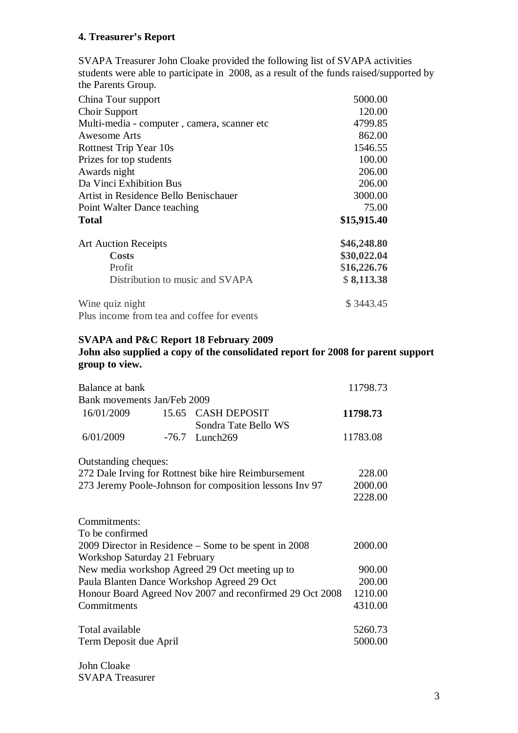### **4. Treasurer's Report**

SVAPA Treasurer John Cloake provided the following list of SVAPA activities students were able to participate in 2008, as a result of the funds raised/supported by the Parents Group.

| China Tour support                          | 5000.00     |
|---------------------------------------------|-------------|
| Choir Support                               | 120.00      |
| Multi-media - computer, camera, scanner etc | 4799.85     |
| Awesome Arts                                | 862.00      |
| Rottnest Trip Year 10s                      | 1546.55     |
| Prizes for top students                     | 100.00      |
| Awards night                                | 206.00      |
| Da Vinci Exhibition Bus                     | 206.00      |
| Artist in Residence Bello Benischauer       | 3000.00     |
| Point Walter Dance teaching                 | 75.00       |
| <b>Total</b>                                | \$15,915.40 |
| <b>Art Auction Receipts</b>                 | \$46,248.80 |
| <b>Costs</b>                                | \$30,022.04 |
| Profit                                      | \$16,226.76 |
| Distribution to music and SVAPA             | \$8,113.38  |
| Wine quiz night                             | \$3443.45   |
| Plus income from tea and coffee for events  |             |

# **SVAPA and P&C Report 18 February 2009**

## **John also supplied a copy of the consolidated report for 2008 for parent support group to view.**

| Balance at bank                                          |       |                                             | 11798.73 |
|----------------------------------------------------------|-------|---------------------------------------------|----------|
| Bank movements Jan/Feb 2009                              |       |                                             |          |
| 16/01/2009                                               | 15.65 | <b>CASH DEPOSIT</b><br>Sondra Tate Bello WS | 11798.73 |
| 6/01/2009                                                | -76.7 | Lunch269                                    | 11783.08 |
| Outstanding cheques:                                     |       |                                             |          |
| 272 Dale Irving for Rottnest bike hire Reimbursement     |       | 228.00                                      |          |
| 273 Jeremy Poole-Johnson for composition lessons Inv 97  |       | 2000.00                                     |          |
|                                                          |       |                                             | 2228.00  |
| Commitments:                                             |       |                                             |          |
| To be confirmed                                          |       |                                             |          |
| 2009 Director in Residence – Some to be spent in 2008    |       |                                             | 2000.00  |
| Workshop Saturday 21 February                            |       |                                             |          |
| New media workshop Agreed 29 Oct meeting up to           |       | 900.00                                      |          |
| Paula Blanten Dance Workshop Agreed 29 Oct               |       |                                             | 200.00   |
| Honour Board Agreed Nov 2007 and reconfirmed 29 Oct 2008 |       | 1210.00                                     |          |
| Commitments                                              |       |                                             | 4310.00  |
| Total available                                          |       |                                             | 5260.73  |
| Term Deposit due April                                   |       |                                             | 5000.00  |

John Cloake SVAPA Treasurer